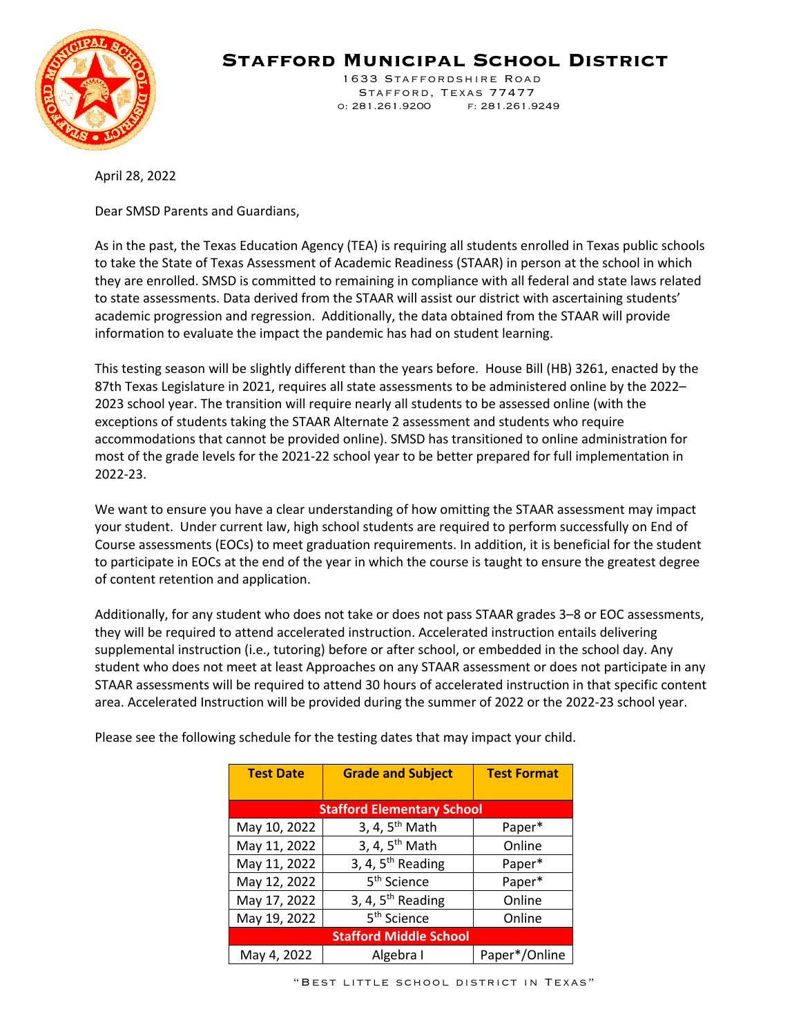

**Stafford Municipal School District**

 1633 Staffordshire Road Stafford, Texas 77477 o: 281.261.9200 f: 281.261.9249

April 28, 2022

Dear SMSD Parents and Guardians,

As in the past, the Texas Education Agency (TEA) is requiring all students enrolled in Texas public schools to take the State of Texas Assessment of Academic Readiness (STAAR) in person at the school in which they are enrolled. SMSD is committed to remaining in compliance with all federal and state laws related to state assessments. Data derived from the STAAR will assist our district with ascertaining students' academic progression and regression. Additionally, the data obtained from the STAAR will provide information to evaluate the impact the pandemic has had on student learning.

This testing season will be slightly different than the years before. House Bill (HB) 3261, enacted by the 87th Texas Legislature in 2021, requires all state assessments to be administered online by the 2022– 2023 school year. The transition will require nearly all students to be assessed online (with the exceptions of students taking the STAAR Alternate 2 assessment and students who require accommodations that cannot be provided online). SMSD has transitioned to online administration for most of the grade levels for the 2021-22 school year to be better prepared for full implementation in 2022-23.

We want to ensure you have a clear understanding of how omitting the STAAR assessment may impact your student. Under current law, high school students are required to perform successfully on End of Course assessments (EOCs) to meet graduation requirements. In addition, it is beneficial for the student to participate in EOCs at the end of the year in which the course is taught to ensure the greatest degree of content retention and application.

Additionally, for any student who does not take or does not pass STAAR grades 3–8 or EOC assessments, they will be required to attend accelerated instruction. Accelerated instruction entails delivering supplemental instruction (i.e., tutoring) before or after school, or embedded in the school day. Any student who does not meet at least Approaches on any STAAR assessment or does not participate in any STAAR assessments will be required to attend 30 hours of accelerated instruction in that specific content area. Accelerated Instruction will be provided during the summer of 2022 or the 2022-23 school year.

| <b>Test Date</b>                  | <b>Grade and Subject</b>   | <b>Test Format</b> |  |
|-----------------------------------|----------------------------|--------------------|--|
| <b>Stafford Elementary School</b> |                            |                    |  |
| May 10, 2022                      | 3, 4, $5th$ Math           | Paper*             |  |
| May 11, 2022                      | 3, 4, 5 <sup>th</sup> Math | Online             |  |
| May 11, 2022                      | 3, 4, $5th$ Reading        | Paper*             |  |
| May 12, 2022                      | 5 <sup>th</sup> Science    | Paper*             |  |
| May 17, 2022                      | 3, 4, $5th$ Reading        | Online             |  |
| May 19, 2022                      | 5 <sup>th</sup> Science    | Online             |  |
| <b>Stafford Middle School</b>     |                            |                    |  |
| May 4, 2022                       | Algebra I                  | Paper*/Online      |  |

Please see the following schedule for the testing dates that may impact your child.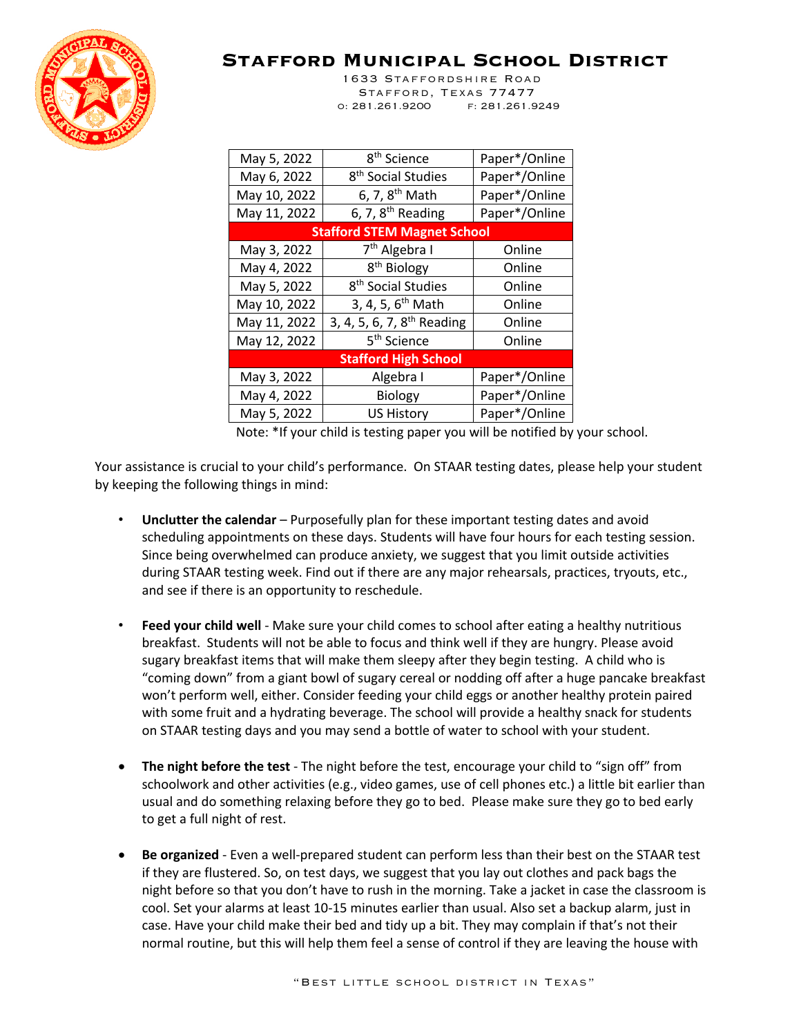

**Stafford Municipal School District**

 1633 Staffordshire Road Stafford, Texas 77477 o: 281.261.9200 f: 281.261.9249

| May 5, 2022                        | 8 <sup>th</sup> Science                | Paper*/Online |  |
|------------------------------------|----------------------------------------|---------------|--|
| May 6, 2022                        | 8 <sup>th</sup> Social Studies         | Paper*/Online |  |
| May 10, 2022                       | 6, 7, 8 <sup>th</sup> Math             | Paper*/Online |  |
| May 11, 2022                       | 6, 7, $8th$ Reading                    | Paper*/Online |  |
| <b>Stafford STEM Magnet School</b> |                                        |               |  |
| May 3, 2022                        | 7 <sup>th</sup> Algebra I              | Online        |  |
| May 4, 2022                        | 8 <sup>th</sup> Biology                | Online        |  |
| May 5, 2022                        | 8 <sup>th</sup> Social Studies         | Online        |  |
| May 10, 2022                       | 3, 4, 5, 6 <sup>th</sup> Math          | Online        |  |
| May 11, 2022                       | 3, 4, 5, 6, 7, 8 <sup>th</sup> Reading | Online        |  |
| May 12, 2022                       | 5 <sup>th</sup> Science                | Online        |  |
| <b>Stafford High School</b>        |                                        |               |  |
| May 3, 2022                        | Algebra I                              | Paper*/Online |  |
| May 4, 2022                        | <b>Biology</b>                         | Paper*/Online |  |
| May 5, 2022                        | <b>US History</b>                      | Paper*/Online |  |

Note: \*If your child is testing paper you will be notified by your school.

Your assistance is crucial to your child's performance. On STAAR testing dates, please help your student by keeping the following things in mind:

- **Unclutter the calendar** Purposefully plan for these important testing dates and avoid scheduling appointments on these days. Students will have four hours for each testing session. Since being overwhelmed can produce anxiety, we suggest that you limit outside activities during STAAR testing week. Find out if there are any major rehearsals, practices, tryouts, etc., and see if there is an opportunity to reschedule.
- **Feed your child well** Make sure your child comes to school after eating a healthy nutritious breakfast. Students will not be able to focus and think well if they are hungry. Please avoid sugary breakfast items that will make them sleepy after they begin testing. A child who is "coming down" from a giant bowl of sugary cereal or nodding off after a huge pancake breakfast won't perform well, either. Consider feeding your child eggs or another healthy protein paired with some fruit and a hydrating beverage. The school will provide a healthy snack for students on STAAR testing days and you may send a bottle of water to school with your student.
- **The night before the test** The night before the test, encourage your child to "sign off" from schoolwork and other activities (e.g., video games, use of cell phones etc.) a little bit earlier than usual and do something relaxing before they go to bed. Please make sure they go to bed early to get a full night of rest.
- **Be organized** Even a well-prepared student can perform less than their best on the STAAR test if they are flustered. So, on test days, we suggest that you lay out clothes and pack bags the night before so that you don't have to rush in the morning. Take a jacket in case the classroom is cool. Set your alarms at least 10-15 minutes earlier than usual. Also set a backup alarm, just in case. Have your child make their bed and tidy up a bit. They may complain if that's not their normal routine, but this will help them feel a sense of control if they are leaving the house with